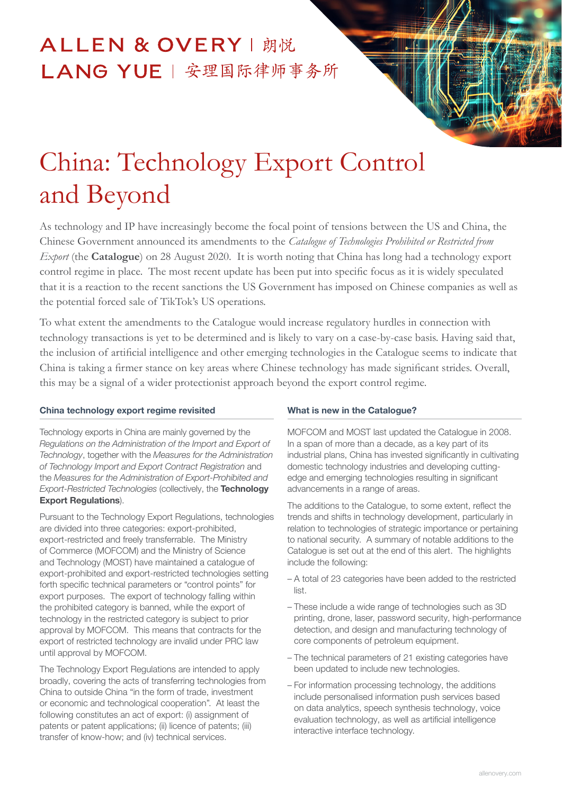## ALLEN & OVERY | 朗悦 LANG YUE | 安理国际律师事务所

# China: Technology Export Control and Beyond

As technology and IP have increasingly become the focal point of tensions between the US and China, the Chinese Government announced its amendments to the *Catalogue of Technologies Prohibited or Restricted from Export* (the **Catalogue**) on 28 August 2020. It is worth noting that China has long had a technology export control regime in place. The most recent update has been put into specific focus as it is widely speculated that it is a reaction to the recent sanctions the US Government has imposed on Chinese companies as well as the potential forced sale of TikTok's US operations.

To what extent the amendments to the Catalogue would increase regulatory hurdles in connection with technology transactions is yet to be determined and is likely to vary on a case-by-case basis. Having said that, the inclusion of artificial intelligence and other emerging technologies in the Catalogue seems to indicate that China is taking a firmer stance on key areas where Chinese technology has made significant strides. Overall, this may be a signal of a wider protectionist approach beyond the export control regime.

#### China technology export regime revisited

Technology exports in China are mainly governed by the *Regulations on the Administration of the Import and Export of Technology*, together with the *Measures for the Administration of Technology Import and Export Contract Registration* and the *Measures for the Administration of Export-Prohibited and Export-Restricted Technologies* (collectively, the Technology Export Regulations).

Pursuant to the Technology Export Regulations, technologies are divided into three categories: export-prohibited, export-restricted and freely transferrable. The Ministry of Commerce (MOFCOM) and the Ministry of Science and Technology (MOST) have maintained a catalogue of export-prohibited and export-restricted technologies setting forth specific technical parameters or "control points" for export purposes. The export of technology falling within the prohibited category is banned, while the export of technology in the restricted category is subject to prior approval by MOFCOM. This means that contracts for the export of restricted technology are invalid under PRC law until approval by MOFCOM.

The Technology Export Regulations are intended to apply broadly, covering the acts of transferring technologies from China to outside China "in the form of trade, investment or economic and technological cooperation". At least the following constitutes an act of export: (i) assignment of patents or patent applications; (ii) licence of patents; (iii) transfer of know-how; and (iv) technical services.

#### What is new in the Catalogue?

MOFCOM and MOST last updated the Catalogue in 2008. In a span of more than a decade, as a key part of its industrial plans, China has invested significantly in cultivating domestic technology industries and developing cuttingedge and emerging technologies resulting in significant advancements in a range of areas.

The additions to the Catalogue, to some extent, reflect the trends and shifts in technology development, particularly in relation to technologies of strategic importance or pertaining to national security. A summary of notable additions to the Catalogue is set out at the end of this alert. The highlights include the following:

- A total of 23 categories have been added to the restricted list.
- These include a wide range of technologies such as 3D printing, drone, laser, password security, high-performance detection, and design and manufacturing technology of core components of petroleum equipment.
- The technical parameters of 21 existing categories have been updated to include new technologies.
- For information processing technology, the additions include personalised information push services based on data analytics, speech synthesis technology, voice evaluation technology, as well as artificial intelligence interactive interface technology.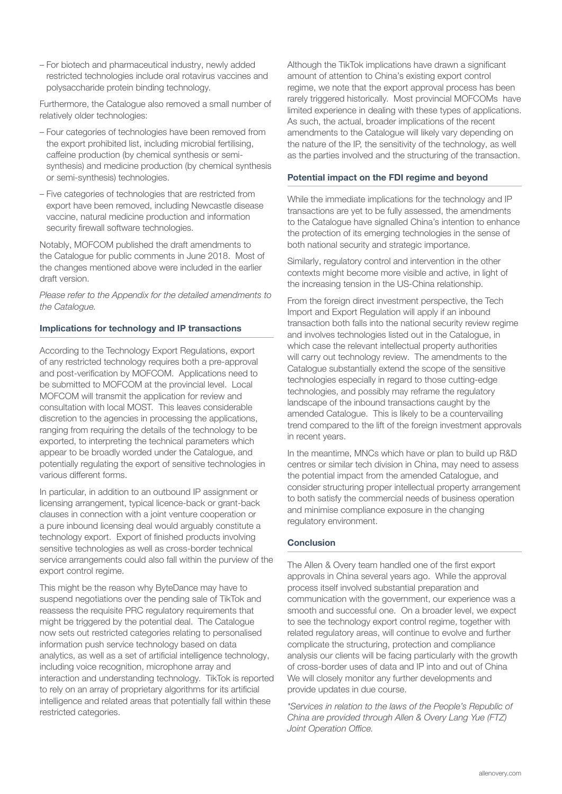– For biotech and pharmaceutical industry, newly added restricted technologies include oral rotavirus vaccines and polysaccharide protein binding technology.

Furthermore, the Catalogue also removed a small number of relatively older technologies:

- Four categories of technologies have been removed from the export prohibited list, including microbial fertilising, caffeine production (by chemical synthesis or semisynthesis) and medicine production (by chemical synthesis or semi-synthesis) technologies.
- Five categories of technologies that are restricted from export have been removed, including Newcastle disease vaccine, natural medicine production and information security firewall software technologies.

Notably, MOFCOM published the draft amendments to the Catalogue for public comments in June 2018. Most of the changes mentioned above were included in the earlier draft version.

*Please refer to the Appendix for the detailed amendments to the Catalogue.*

#### Implications for technology and IP transactions

According to the Technology Export Regulations, export of any restricted technology requires both a pre-approval and post-verification by MOFCOM. Applications need to be submitted to MOFCOM at the provincial level. Local MOFCOM will transmit the application for review and consultation with local MOST. This leaves considerable discretion to the agencies in processing the applications, ranging from requiring the details of the technology to be exported, to interpreting the technical parameters which appear to be broadly worded under the Catalogue, and potentially regulating the export of sensitive technologies in various different forms.

In particular, in addition to an outbound IP assignment or licensing arrangement, typical licence-back or grant-back clauses in connection with a joint venture cooperation or a pure inbound licensing deal would arguably constitute a technology export. Export of finished products involving sensitive technologies as well as cross-border technical service arrangements could also fall within the purview of the export control regime.

This might be the reason why ByteDance may have to suspend negotiations over the pending sale of TikTok and reassess the requisite PRC regulatory requirements that might be triggered by the potential deal. The Catalogue now sets out restricted categories relating to personalised information push service technology based on data analytics, as well as a set of artificial intelligence technology, including voice recognition, microphone array and interaction and understanding technology. TikTok is reported to rely on an array of proprietary algorithms for its artificial intelligence and related areas that potentially fall within these restricted categories.

Although the TikTok implications have drawn a significant amount of attention to China's existing export control regime, we note that the export approval process has been rarely triggered historically. Most provincial MOFCOMs have limited experience in dealing with these types of applications. As such, the actual, broader implications of the recent amendments to the Catalogue will likely vary depending on the nature of the IP, the sensitivity of the technology, as well as the parties involved and the structuring of the transaction.

#### Potential impact on the FDI regime and beyond

While the immediate implications for the technology and IP transactions are yet to be fully assessed, the amendments to the Catalogue have signalled China's intention to enhance the protection of its emerging technologies in the sense of both national security and strategic importance.

Similarly, regulatory control and intervention in the other contexts might become more visible and active, in light of the increasing tension in the US-China relationship.

From the foreign direct investment perspective, the Tech Import and Export Regulation will apply if an inbound transaction both falls into the national security review regime and involves technologies listed out in the Catalogue, in which case the relevant intellectual property authorities will carry out technology review. The amendments to the Catalogue substantially extend the scope of the sensitive technologies especially in regard to those cutting-edge technologies, and possibly may reframe the regulatory landscape of the inbound transactions caught by the amended Catalogue. This is likely to be a countervailing trend compared to the lift of the foreign investment approvals in recent years.

In the meantime, MNCs which have or plan to build up R&D centres or similar tech division in China, may need to assess the potential impact from the amended Catalogue, and consider structuring proper intellectual property arrangement to both satisfy the commercial needs of business operation and minimise compliance exposure in the changing regulatory environment.

#### **Conclusion**

The Allen & Overy team handled one of the first export approvals in China several years ago. While the approval process itself involved substantial preparation and communication with the government, our experience was a smooth and successful one. On a broader level, we expect to see the technology export control regime, together with related regulatory areas, will continue to evolve and further complicate the structuring, protection and compliance analysis our clients will be facing particularly with the growth of cross-border uses of data and IP into and out of China We will closely monitor any further developments and provide updates in due course.

*\*Services in relation to the laws of the People's Republic of China are provided through Allen & Overy Lang Yue (FTZ)*  Joint Operation Office.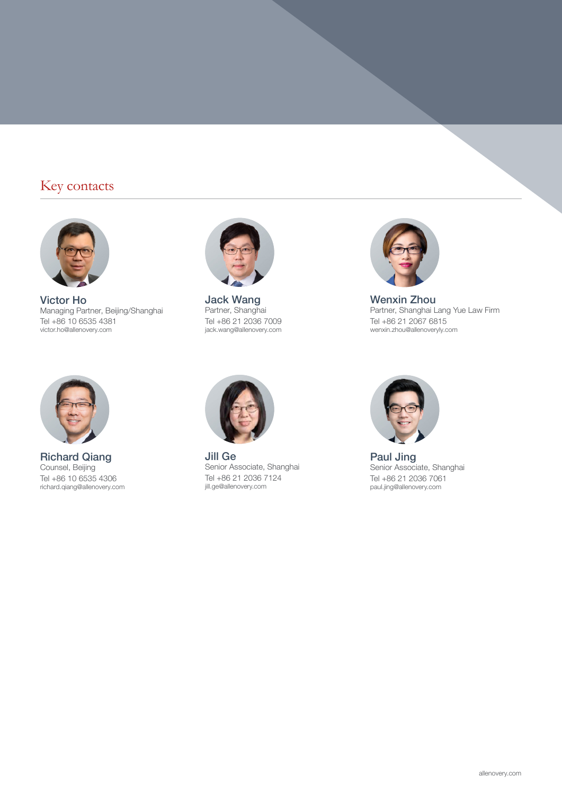### Key contacts



Victor Ho Managing Partner, Beijing/Shanghai Tel +86 10 6535 4381 victor.ho@allenovery.com



Jack Wang Partner, Shanghai Tel +86 21 2036 7009 jack.wang@allenovery.com



Wenxin Zhou Partner, Shanghai Lang Yue Law Firm Tel +86 21 2067 6815 wenxin.zhou@allenoveryly.com



Richard Qiang Counsel, Beijing Tel +86 10 6535 4306 richard.qiang@allenovery.com



Jill Ge Senior Associate, Shanghai Tel +86 21 2036 7124 jill.ge@allenovery.com



Paul Jing Senior Associate, Shanghai Tel +86 21 2036 7061 paul.jing@allenovery.com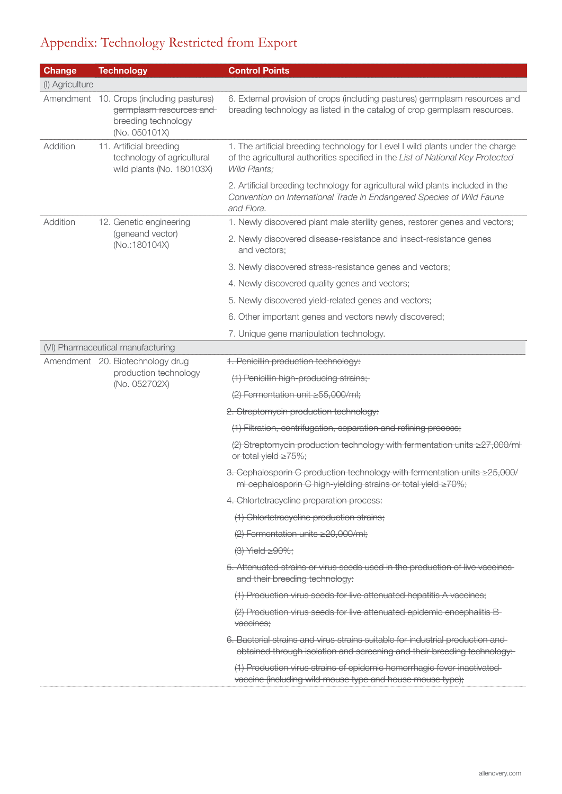## Appendix: Technology Restricted from Export

| <b>Change</b>   |  | <b>Technology</b>                                                                                           | <b>Control Points</b>                                                                                                                                                             |
|-----------------|--|-------------------------------------------------------------------------------------------------------------|-----------------------------------------------------------------------------------------------------------------------------------------------------------------------------------|
| (I) Agriculture |  |                                                                                                             |                                                                                                                                                                                   |
|                 |  | Amendment 10. Crops (including pastures)<br>germplasm resources and<br>breeding technology<br>(No. 050101X) | 6. External provision of crops (including pastures) germplasm resources and<br>breading technology as listed in the catalog of crop germplasm resources.                          |
| Addition        |  | 11. Artificial breeding<br>technology of agricultural<br>wild plants (No. 180103X)                          | 1. The artificial breeding technology for Level I wild plants under the charge<br>of the agricultural authorities specified in the List of National Key Protected<br>Wild Plants; |
|                 |  |                                                                                                             | 2. Artificial breeding technology for agricultural wild plants included in the<br>Convention on International Trade in Endangered Species of Wild Fauna<br>and Flora.             |
| Addition        |  | 12. Genetic engineering<br>(geneand vector)<br>(No.:180104X)                                                | 1. Newly discovered plant male sterility genes, restorer genes and vectors;                                                                                                       |
|                 |  |                                                                                                             | 2. Newly discovered disease-resistance and insect-resistance genes<br>and vectors;                                                                                                |
|                 |  |                                                                                                             | 3. Newly discovered stress-resistance genes and vectors;                                                                                                                          |
|                 |  |                                                                                                             | 4. Newly discovered quality genes and vectors;                                                                                                                                    |
|                 |  |                                                                                                             | 5. Newly discovered yield-related genes and vectors;                                                                                                                              |
|                 |  |                                                                                                             | 6. Other important genes and vectors newly discovered;                                                                                                                            |
|                 |  |                                                                                                             | 7. Unique gene manipulation technology.                                                                                                                                           |
|                 |  | (VI) Pharmaceutical manufacturing                                                                           |                                                                                                                                                                                   |
|                 |  | Amendment 20. Biotechnology drug<br>production technology                                                   | 1. Penicillin production technology:                                                                                                                                              |
|                 |  | (No. 052702X)                                                                                               | (1) Penicillin high-producing strains;                                                                                                                                            |
|                 |  |                                                                                                             | (2) Fermentation unit ≥55,000/ml;                                                                                                                                                 |
|                 |  |                                                                                                             | 2. Streptomycin production technology:                                                                                                                                            |
|                 |  |                                                                                                             | (1) Filtration, centrifugation, separation and refining process;                                                                                                                  |
|                 |  |                                                                                                             | (2) Streptomycin production technology with fermentation units ≥27,000/ml<br>or total yield ≥75%;                                                                                 |
|                 |  |                                                                                                             | 3. Cephalosporin C production technology with fermentation units ≥25,000/<br>ml cephalosporin C high-yielding strains or total yield ≥70%;                                        |
|                 |  |                                                                                                             | 4. Chlortetracycline preparation process:                                                                                                                                         |
|                 |  |                                                                                                             | (1) Chlortetracycline production strains;                                                                                                                                         |
|                 |  |                                                                                                             | $(2)$ Fermentation units $\geq$ 20,000/ml;                                                                                                                                        |
|                 |  |                                                                                                             | $(3)$ Yield $\geq 90\%$ ;                                                                                                                                                         |
|                 |  |                                                                                                             | 5. Attenuated strains or virus seeds used in the production of live vaccines<br>and their breeding technology:                                                                    |
|                 |  |                                                                                                             | (1) Production virus seeds for live attenuated hepatitis A vaccines;                                                                                                              |
|                 |  |                                                                                                             | (2) Production virus seeds for live attenuated epidemic encephalitis B-<br>vaccines;                                                                                              |
|                 |  |                                                                                                             | 6. Bacterial strains and virus strains suitable for industrial production and<br>obtained through isolation and screening and their breeding technology:                          |
|                 |  |                                                                                                             | (1) Production virus strains of epidemic hemorrhagic fever inactivated<br>vaccine (including wild mouse type and house mouse type);                                               |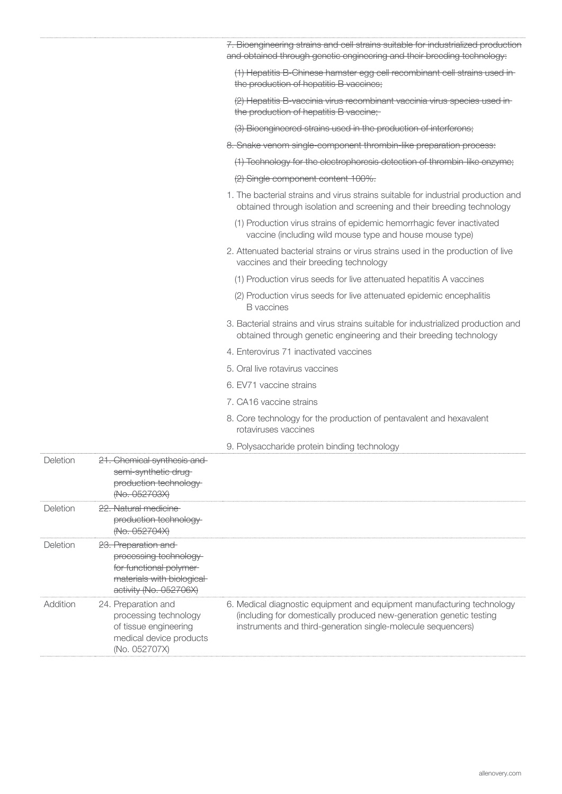|          |                                                                                                                                  | 7. Bioengineering strains and cell strains suitable for industrialized production<br>and obtained through genetic engineering and their breeding technology:                                                  |
|----------|----------------------------------------------------------------------------------------------------------------------------------|---------------------------------------------------------------------------------------------------------------------------------------------------------------------------------------------------------------|
|          |                                                                                                                                  | (1) Hepatitis B-Chinese hamster egg cell recombinant cell strains used in-<br>the production of hepatitis B vaccines;                                                                                         |
|          |                                                                                                                                  | (2) Hepatitis B-vaccinia virus recombinant vaccinia virus species used in-<br>the production of hepatitis B vaccine;                                                                                          |
|          |                                                                                                                                  | (3) Bioengineered strains used in the production of interferons;                                                                                                                                              |
|          |                                                                                                                                  | 8. Snake venom single-component thrombin-like preparation process:                                                                                                                                            |
|          |                                                                                                                                  | (1) Technology for the electrophoresis detection of thrombin-like enzyme;                                                                                                                                     |
|          |                                                                                                                                  | (2) Single component content 100%.                                                                                                                                                                            |
|          |                                                                                                                                  | 1. The bacterial strains and virus strains suitable for industrial production and<br>obtained through isolation and screening and their breeding technology                                                   |
|          |                                                                                                                                  | (1) Production virus strains of epidemic hemorrhagic fever inactivated<br>vaccine (including wild mouse type and house mouse type)                                                                            |
|          |                                                                                                                                  | 2. Attenuated bacterial strains or virus strains used in the production of live<br>vaccines and their breeding technology                                                                                     |
|          |                                                                                                                                  | (1) Production virus seeds for live attenuated hepatitis A vaccines                                                                                                                                           |
|          |                                                                                                                                  | (2) Production virus seeds for live attenuated epidemic encephalitis<br><b>B</b> vaccines                                                                                                                     |
|          |                                                                                                                                  | 3. Bacterial strains and virus strains suitable for industrialized production and<br>obtained through genetic engineering and their breeding technology                                                       |
|          |                                                                                                                                  | 4. Enterovirus 71 inactivated vaccines                                                                                                                                                                        |
|          |                                                                                                                                  | 5. Oral live rotavirus vaccines                                                                                                                                                                               |
|          |                                                                                                                                  | 6. EV71 vaccine strains                                                                                                                                                                                       |
|          |                                                                                                                                  | 7. CA16 vaccine strains                                                                                                                                                                                       |
|          |                                                                                                                                  | 8. Core technology for the production of pentavalent and hexavalent<br>rotaviruses vaccines                                                                                                                   |
|          |                                                                                                                                  | 9. Polysaccharide protein binding technology                                                                                                                                                                  |
| Deletion | 21. Chemical synthesis and<br>semi-synthetic drug-<br>production technology-<br>(No. 052703X)                                    |                                                                                                                                                                                                               |
| Deletion | 22. Natural medicine<br>production technology-<br>(No. 052704X)                                                                  |                                                                                                                                                                                                               |
| Deletion | 23. Preparation and<br>processing technology-<br>for functional polymer-<br>materials with biological-<br>activity (No. 052706X) |                                                                                                                                                                                                               |
| Addition | 24. Preparation and<br>processing technology<br>of tissue engineering<br>medical device products<br>(No. 052707X)                | 6. Medical diagnostic equipment and equipment manufacturing technology<br>(including for domestically produced new-generation genetic testing<br>instruments and third-generation single-molecule sequencers) |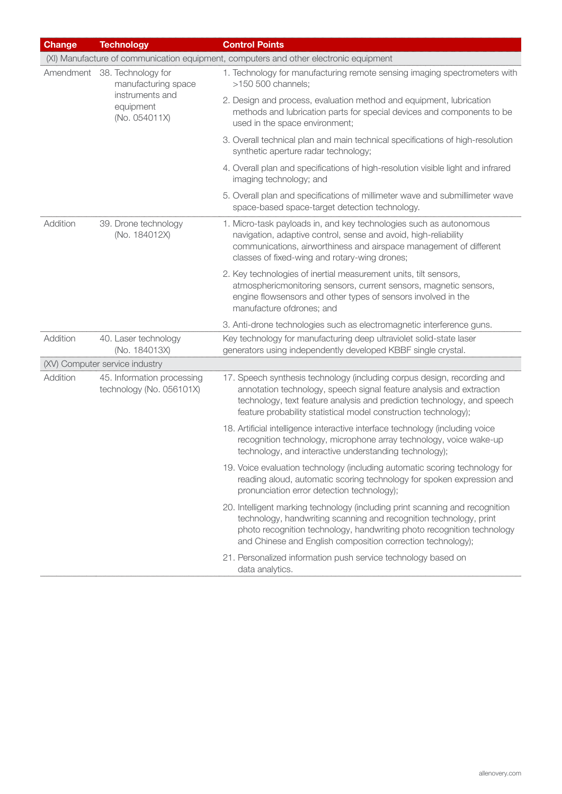| <b>Change</b> | <b>Technology</b>                                      | <b>Control Points</b>                                                                                                                                                                                                                                                                         |
|---------------|--------------------------------------------------------|-----------------------------------------------------------------------------------------------------------------------------------------------------------------------------------------------------------------------------------------------------------------------------------------------|
|               |                                                        | (XI) Manufacture of communication equipment, computers and other electronic equipment                                                                                                                                                                                                         |
|               | Amendment 38. Technology for<br>manufacturing space    | 1. Technology for manufacturing remote sensing imaging spectrometers with<br>$>150$ 500 channels;                                                                                                                                                                                             |
|               | instruments and<br>equipment<br>(No. 054011X)          | 2. Design and process, evaluation method and equipment, lubrication<br>methods and lubrication parts for special devices and components to be<br>used in the space environment;                                                                                                               |
|               |                                                        | 3. Overall technical plan and main technical specifications of high-resolution<br>synthetic aperture radar technology;                                                                                                                                                                        |
|               |                                                        | 4. Overall plan and specifications of high-resolution visible light and infrared<br>imaging technology; and                                                                                                                                                                                   |
|               |                                                        | 5. Overall plan and specifications of millimeter wave and submillimeter wave<br>space-based space-target detection technology.                                                                                                                                                                |
| Addition      | 39. Drone technology<br>(No. 184012X)                  | 1. Micro-task payloads in, and key technologies such as autonomous<br>navigation, adaptive control, sense and avoid, high-reliability<br>communications, airworthiness and airspace management of different<br>classes of fixed-wing and rotary-wing drones;                                  |
|               |                                                        | 2. Key technologies of inertial measurement units, tilt sensors,<br>atmosphericmonitoring sensors, current sensors, magnetic sensors,<br>engine flowsensors and other types of sensors involved in the<br>manufacture ofdrones; and                                                           |
|               |                                                        | 3. Anti-drone technologies such as electromagnetic interference guns.                                                                                                                                                                                                                         |
| Addition      | 40. Laser technology<br>(No. 184013X)                  | Key technology for manufacturing deep ultraviolet solid-state laser<br>generators using independently developed KBBF single crystal.                                                                                                                                                          |
|               | (XV) Computer service industry                         |                                                                                                                                                                                                                                                                                               |
| Addition      | 45. Information processing<br>technology (No. 056101X) | 17. Speech synthesis technology (including corpus design, recording and<br>annotation technology, speech signal feature analysis and extraction<br>technology, text feature analysis and prediction technology, and speech<br>feature probability statistical model construction technology); |
|               |                                                        | 18. Artificial intelligence interactive interface technology (including voice<br>recognition technology, microphone array technology, voice wake-up<br>technology, and interactive understanding technology);                                                                                 |
|               |                                                        | 19. Voice evaluation technology (including automatic scoring technology for<br>reading aloud, automatic scoring technology for spoken expression and<br>pronunciation error detection technology);                                                                                            |
|               |                                                        | 20. Intelligent marking technology (including print scanning and recognition<br>technology, handwriting scanning and recognition technology, print<br>photo recognition technology, handwriting photo recognition technology<br>and Chinese and English composition correction technology);   |
|               |                                                        | 21. Personalized information push service technology based on<br>data analytics.                                                                                                                                                                                                              |